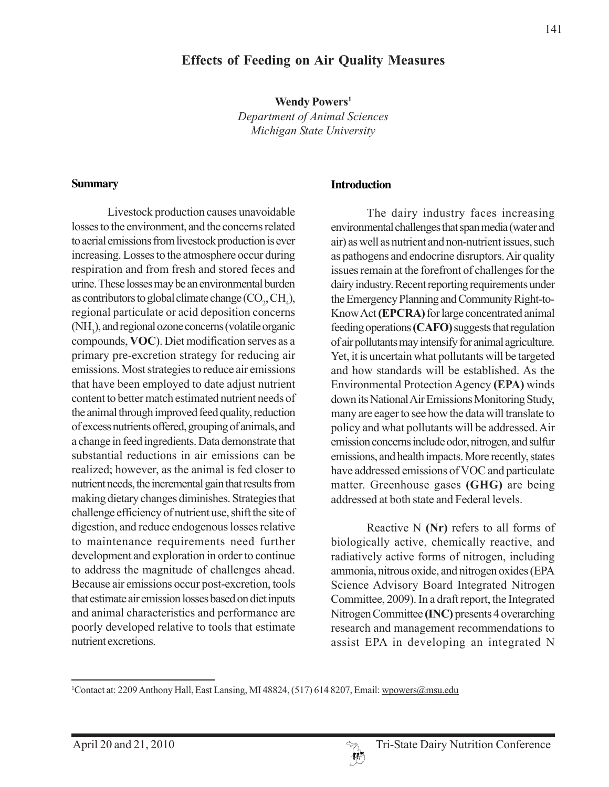#### **Effects of Feeding on Air Quality Measures**

**Wendy Powers1** *Department of Animal Sciences Michigan State University*

#### **Summary**

Livestock production causes unavoidable losses to the environment, and the concerns related to aerial emissions from livestock production is ever increasing. Losses to the atmosphere occur during respiration and from fresh and stored feces and urine. These losses may be an environmental burden as contributors to global climate change  $(\text{CO}_2, \text{CH}_4)$ , regional particulate or acid deposition concerns (NH<sub>3</sub>), and regional ozone concerns (volatile organic compounds, **VOC**). Diet modification serves as a primary pre-excretion strategy for reducing air emissions. Most strategies to reduce air emissions that have been employed to date adjust nutrient content to better match estimated nutrient needs of the animal through improved feed quality, reduction of excess nutrients offered, grouping of animals, and a change in feed ingredients. Data demonstrate that substantial reductions in air emissions can be realized; however, as the animal is fed closer to nutrient needs, the incremental gain that results from making dietary changes diminishes. Strategies that challenge efficiency of nutrient use, shift the site of digestion, and reduce endogenous losses relative to maintenance requirements need further development and exploration in order to continue to address the magnitude of challenges ahead. Because air emissions occur post-excretion, tools that estimate air emission losses based on diet inputs and animal characteristics and performance are poorly developed relative to tools that estimate nutrient excretions.

#### **Introduction**

The dairy industry faces increasing environmental challenges that span media (water and air) as well as nutrient and non-nutrient issues, such as pathogens and endocrine disruptors. Air quality issues remain at the forefront of challenges for the dairy industry. Recent reporting requirements under the Emergency Planning and Community Right-to-Know Act **(EPCRA)** for large concentrated animal feeding operations **(CAFO)** suggests that regulation of air pollutants may intensify for animal agriculture. Yet, it is uncertain what pollutants will be targeted and how standards will be established. As the Environmental Protection Agency **(EPA)** winds down its National Air Emissions Monitoring Study, many are eager to see how the data will translate to policy and what pollutants will be addressed. Air emission concerns include odor, nitrogen, and sulfur emissions, and health impacts. More recently, states have addressed emissions of VOC and particulate matter. Greenhouse gases **(GHG)** are being addressed at both state and Federal levels.

Reactive N **(Nr)** refers to all forms of biologically active, chemically reactive, and radiatively active forms of nitrogen, including ammonia, nitrous oxide, and nitrogen oxides (EPA Science Advisory Board Integrated Nitrogen Committee, 2009). In a draft report, the Integrated Nitrogen Committee **(INC)** presents 4 overarching research and management recommendations to assist EPA in developing an integrated N



<sup>&</sup>lt;sup>1</sup>Contact at: 2209 Anthony Hall, East Lansing, MI 48824, (517) 614 8207, Email: wpowers@msu.edu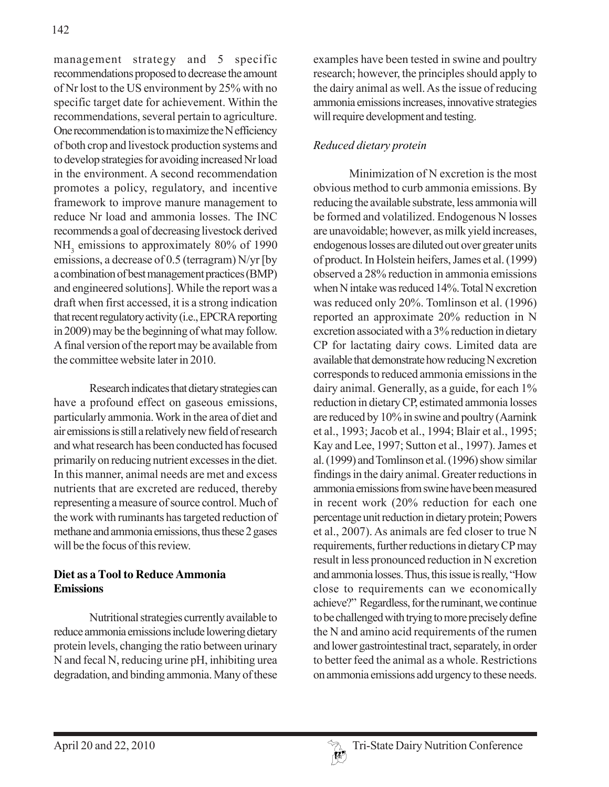management strategy and 5 specific recommendations proposed to decrease the amount of Nr lost to the US environment by 25% with no specific target date for achievement. Within the recommendations, several pertain to agriculture. One recommendation is to maximize the N efficiency of both crop and livestock production systems and to develop strategies for avoiding increased Nr load in the environment. A second recommendation promotes a policy, regulatory, and incentive framework to improve manure management to reduce Nr load and ammonia losses. The INC recommends a goal of decreasing livestock derived NH<sub>3</sub> emissions to approximately 80% of 1990 emissions, a decrease of 0.5 (terragram) N/yr [by a combination of best management practices (BMP) and engineered solutions]. While the report was a draft when first accessed, it is a strong indication that recent regulatory activity (i.e., EPCRA reporting in 2009) may be the beginning of what may follow. A final version of the report may be available from the committee website later in 2010.

Research indicates that dietary strategies can have a profound effect on gaseous emissions, particularly ammonia. Work in the area of diet and air emissions is still a relatively new field of research and what research has been conducted has focused primarily on reducing nutrient excesses in the diet. In this manner, animal needs are met and excess nutrients that are excreted are reduced, thereby representing a measure of source control. Much of the work with ruminants has targeted reduction of methane and ammonia emissions, thus these 2 gases will be the focus of this review.

## **Diet as a Tool to Reduce Ammonia Emissions**

Nutritional strategies currently available to reduce ammonia emissions include lowering dietary protein levels, changing the ratio between urinary N and fecal N, reducing urine pH, inhibiting urea degradation, and binding ammonia. Many of these

examples have been tested in swine and poultry research; however, the principles should apply to the dairy animal as well. As the issue of reducing ammonia emissions increases, innovative strategies will require development and testing.

# *Reduced dietary protein*

Minimization of N excretion is the most obvious method to curb ammonia emissions. By reducing the available substrate, less ammonia will be formed and volatilized. Endogenous N losses are unavoidable; however, as milk yield increases, endogenous losses are diluted out over greater units of product. In Holstein heifers, James et al. (1999) observed a 28% reduction in ammonia emissions when N intake was reduced 14%. Total N excretion was reduced only 20%. Tomlinson et al. (1996) reported an approximate 20% reduction in N excretion associated with a 3% reduction in dietary CP for lactating dairy cows. Limited data are available that demonstrate how reducing N excretion corresponds to reduced ammonia emissions in the dairy animal. Generally, as a guide, for each 1% reduction in dietary CP, estimated ammonia losses are reduced by 10% in swine and poultry (Aarnink et al., 1993; Jacob et al., 1994; Blair et al., 1995; Kay and Lee, 1997; Sutton et al., 1997). James et al. (1999) and Tomlinson et al. (1996) show similar findings in the dairy animal. Greater reductions in ammonia emissions from swine have been measured in recent work (20% reduction for each one percentage unit reduction in dietary protein; Powers et al., 2007). As animals are fed closer to true N requirements, further reductions in dietary CP may result in less pronounced reduction in N excretion and ammonia losses. Thus, this issue is really, "How close to requirements can we economically achieve?" Regardless, for the ruminant, we continue to be challenged with trying to more precisely define the N and amino acid requirements of the rumen and lower gastrointestinal tract, separately, in order to better feed the animal as a whole. Restrictions on ammonia emissions add urgency to these needs.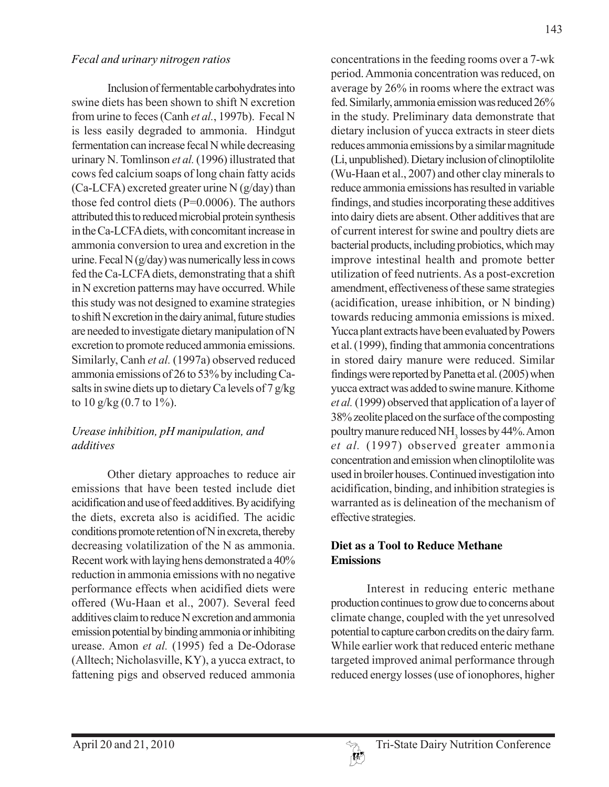#### *Fecal and urinary nitrogen ratios*

Inclusion of fermentable carbohydrates into swine diets has been shown to shift N excretion from urine to feces (Canh *et al.*, 1997b). Fecal N is less easily degraded to ammonia. Hindgut fermentation can increase fecal N while decreasing urinary N. Tomlinson *et al.* (1996) illustrated that cows fed calcium soaps of long chain fatty acids  $(Ca-LCFA)$  excreted greater urine N $(g/day)$  than those fed control diets (P=0.0006). The authors attributed this to reduced microbial protein synthesis in the Ca-LCFA diets, with concomitant increase in ammonia conversion to urea and excretion in the urine. Fecal  $N$  (g/day) was numerically less in cows fed the Ca-LCFA diets, demonstrating that a shift in N excretion patterns may have occurred. While this study was not designed to examine strategies to shift N excretion in the dairy animal, future studies are needed to investigate dietary manipulation of N excretion to promote reduced ammonia emissions. Similarly, Canh *et al.* (1997a) observed reduced ammonia emissions of 26 to 53% by including Casalts in swine diets up to dietary Ca levels of 7 g/kg to  $10 \frac{\text{g}}{\text{kg}} (0.7 \text{ to } 1\%)$ .

## *Urease inhibition, pH manipulation, and additives*

Other dietary approaches to reduce air emissions that have been tested include diet acidification and use of feed additives. By acidifying the diets, excreta also is acidified. The acidic conditions promote retention of N in excreta, thereby decreasing volatilization of the N as ammonia. Recent work with laying hens demonstrated a 40% reduction in ammonia emissions with no negative performance effects when acidified diets were offered (Wu-Haan et al., 2007). Several feed additives claim to reduce N excretion and ammonia emission potential by binding ammonia or inhibiting urease. Amon *et al.* (1995) fed a De-Odorase (Alltech; Nicholasville, KY), a yucca extract, to fattening pigs and observed reduced ammonia concentrations in the feeding rooms over a 7-wk period. Ammonia concentration was reduced, on average by 26% in rooms where the extract was fed. Similarly, ammonia emission was reduced 26% in the study. Preliminary data demonstrate that dietary inclusion of yucca extracts in steer diets reduces ammonia emissions by a similar magnitude (Li, unpublished). Dietary inclusion of clinoptilolite (Wu-Haan et al., 2007) and other clay minerals to reduce ammonia emissions has resulted in variable findings, and studies incorporating these additives into dairy diets are absent. Other additives that are of current interest for swine and poultry diets are bacterial products, including probiotics, which may improve intestinal health and promote better utilization of feed nutrients. As a post-excretion amendment, effectiveness of these same strategies (acidification, urease inhibition, or N binding) towards reducing ammonia emissions is mixed. Yucca plant extracts have been evaluated by Powers et al. (1999), finding that ammonia concentrations in stored dairy manure were reduced. Similar findings were reported by Panetta et al. (2005) when yucca extract was added to swine manure. Kithome *et al.* (1999) observed that application of a layer of 38% zeolite placed on the surface of the composting poultry manure reduced  $NH<sub>3</sub>$  losses by 44%. Amon *et al.* (1997) observed greater ammonia concentration and emission when clinoptilolite was used in broiler houses. Continued investigation into acidification, binding, and inhibition strategies is warranted as is delineation of the mechanism of effective strategies.

## **Diet as a Tool to Reduce Methane Emissions**

Interest in reducing enteric methane production continues to grow due to concerns about climate change, coupled with the yet unresolved potential to capture carbon credits on the dairy farm. While earlier work that reduced enteric methane targeted improved animal performance through reduced energy losses (use of ionophores, higher

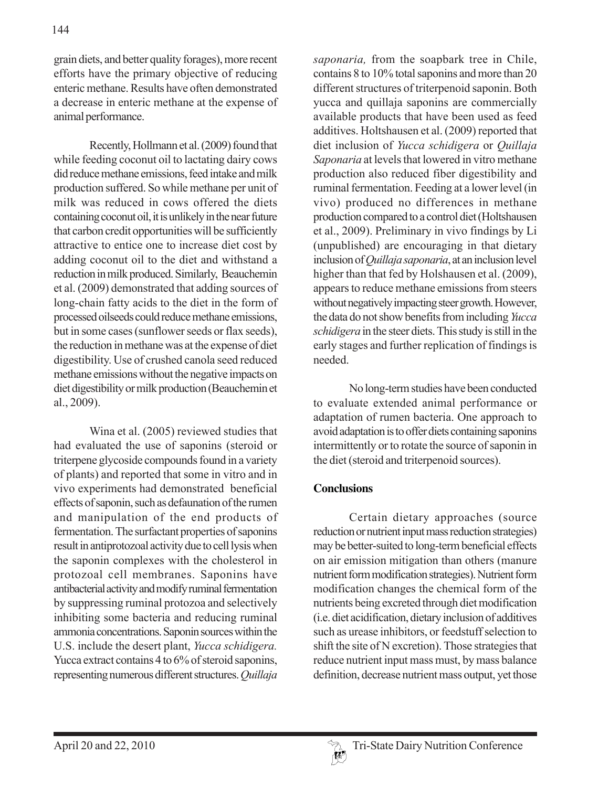grain diets, and better quality forages), more recent efforts have the primary objective of reducing enteric methane. Results have often demonstrated a decrease in enteric methane at the expense of animal performance.

Recently, Hollmann et al. (2009) found that while feeding coconut oil to lactating dairy cows did reduce methane emissions, feed intake and milk production suffered. So while methane per unit of milk was reduced in cows offered the diets containing coconut oil, it is unlikely in the near future that carbon credit opportunities will be sufficiently attractive to entice one to increase diet cost by adding coconut oil to the diet and withstand a reduction in milk produced. Similarly, Beauchemin et al. (2009) demonstrated that adding sources of long-chain fatty acids to the diet in the form of processed oilseeds could reduce methane emissions, but in some cases (sunflower seeds or flax seeds), the reduction in methane was at the expense of diet digestibility. Use of crushed canola seed reduced methane emissions without the negative impacts on diet digestibility or milk production (Beauchemin et al., 2009).

Wina et al. (2005) reviewed studies that had evaluated the use of saponins (steroid or triterpene glycoside compounds found in a variety of plants) and reported that some in vitro and in vivo experiments had demonstrated beneficial effects of saponin, such as defaunation of the rumen and manipulation of the end products of fermentation. The surfactant properties of saponins result in antiprotozoal activity due to cell lysis when the saponin complexes with the cholesterol in protozoal cell membranes. Saponins have antibacterial activity and modify ruminal fermentation by suppressing ruminal protozoa and selectively inhibiting some bacteria and reducing ruminal ammonia concentrations. Saponin sources within the U.S. include the desert plant, *Yucca schidigera.* Yucca extract contains 4 to 6% of steroid saponins, representing numerous different structures. *Quillaja*

*saponaria,* from the soapbark tree in Chile, contains 8 to 10% total saponins and more than 20 different structures of triterpenoid saponin. Both yucca and quillaja saponins are commercially available products that have been used as feed additives. Holtshausen et al. (2009) reported that diet inclusion of *Yucca schidigera* or *Quillaja Saponaria* at levels that lowered in vitro methane production also reduced fiber digestibility and ruminal fermentation. Feeding at a lower level (in vivo) produced no differences in methane production compared to a control diet (Holtshausen et al., 2009). Preliminary in vivo findings by Li (unpublished) are encouraging in that dietary inclusion of *Quillaja saponaria*, at an inclusion level higher than that fed by Holshausen et al. (2009), appears to reduce methane emissions from steers without negatively impacting steer growth. However, the data do not show benefits from including *Yucca schidigera* in the steer diets. This study is still in the early stages and further replication of findings is needed.

No long-term studies have been conducted to evaluate extended animal performance or adaptation of rumen bacteria. One approach to avoid adaptation is to offer diets containing saponins intermittently or to rotate the source of saponin in the diet (steroid and triterpenoid sources).

## **Conclusions**

Certain dietary approaches (source reduction or nutrient input mass reduction strategies) may be better-suited to long-term beneficial effects on air emission mitigation than others (manure nutrient form modification strategies). Nutrient form modification changes the chemical form of the nutrients being excreted through diet modification (i.e. diet acidification, dietary inclusion of additives such as urease inhibitors, or feedstuff selection to shift the site of N excretion). Those strategies that reduce nutrient input mass must, by mass balance definition, decrease nutrient mass output, yet those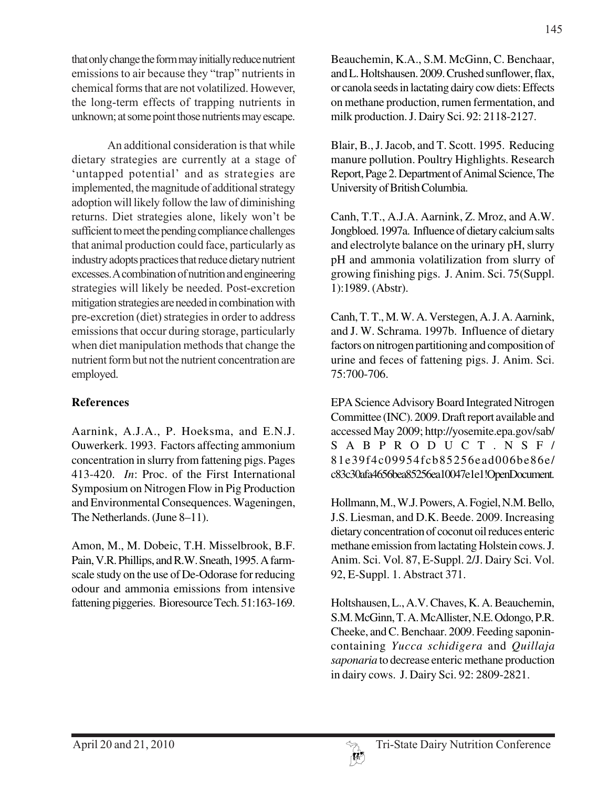that only change the form may initially reduce nutrient emissions to air because they "trap" nutrients in chemical forms that are not volatilized. However, the long-term effects of trapping nutrients in unknown; at some point those nutrients may escape.

An additional consideration is that while dietary strategies are currently at a stage of 'untapped potential' and as strategies are implemented, the magnitude of additional strategy adoption will likely follow the law of diminishing returns. Diet strategies alone, likely won't be sufficient to meet the pending compliance challenges that animal production could face, particularly as industry adopts practices that reduce dietary nutrient excesses. A combination of nutrition and engineering strategies will likely be needed. Post-excretion mitigation strategies are needed in combination with pre-excretion (diet) strategies in order to address emissions that occur during storage, particularly when diet manipulation methods that change the nutrient form but not the nutrient concentration are employed.

## **References**

Aarnink, A.J.A., P. Hoeksma, and E.N.J. Ouwerkerk. 1993. Factors affecting ammonium concentration in slurry from fattening pigs. Pages 413-420. *In*: Proc. of the First International Symposium on Nitrogen Flow in Pig Production and Environmental Consequences. Wageningen, The Netherlands. (June 8–11).

Amon, M., M. Dobeic, T.H. Misselbrook, B.F. Pain, V.R. Phillips, and R.W. Sneath, 1995. A farmscale study on the use of De-Odorase for reducing odour and ammonia emissions from intensive fattening piggeries. Bioresource Tech. 51:163-169.

Beauchemin, K.A., S.M. McGinn, C. Benchaar, and L. Holtshausen. 2009. Crushed sunflower, flax, or canola seeds in lactating dairy cow diets: Effects on methane production, rumen fermentation, and milk production. J. Dairy Sci. 92: 2118-2127.

Blair, B., J. Jacob, and T. Scott. 1995. Reducing manure pollution. Poultry Highlights. Research Report, Page 2. Department of Animal Science, The University of British Columbia.

Canh, T.T., A.J.A. Aarnink, Z. Mroz, and A.W. Jongbloed. 1997a. Influence of dietary calcium salts and electrolyte balance on the urinary pH, slurry pH and ammonia volatilization from slurry of growing finishing pigs. J. Anim. Sci. 75(Suppl. 1):1989. (Abstr).

Canh, T. T., M. W. A. Verstegen, A. J. A. Aarnink, and J. W. Schrama. 1997b. Influence of dietary factors on nitrogen partitioning and composition of urine and feces of fattening pigs. J. Anim. Sci. 75:700-706.

EPA Science Advisory Board Integrated Nitrogen Committee (INC). 2009. Draft report available and accessed May 2009; http://yosemite.epa.gov/sab/ SABPRODUCT.NSF/ 81e39f4c09954fcb85256ead006be86e/ c83c30afa4656bea85256ea10047e1e1!OpenDocument.

Hollmann, M., W.J. Powers, A. Fogiel, N.M. Bello, J.S. Liesman, and D.K. Beede. 2009. Increasing dietary concentration of coconut oil reduces enteric methane emission from lactating Holstein cows. J. Anim. Sci. Vol. 87, E-Suppl. 2/J. Dairy Sci. Vol. 92, E-Suppl. 1. Abstract 371.

Holtshausen, L., A.V. Chaves, K. A. Beauchemin, S.M. McGinn, T. A. McAllister, N.E. Odongo, P.R. Cheeke, and C. Benchaar. 2009. Feeding saponincontaining *Yucca schidigera* and *Quillaja saponaria* to decrease enteric methane production in dairy cows. J. Dairy Sci. 92: 2809-2821.